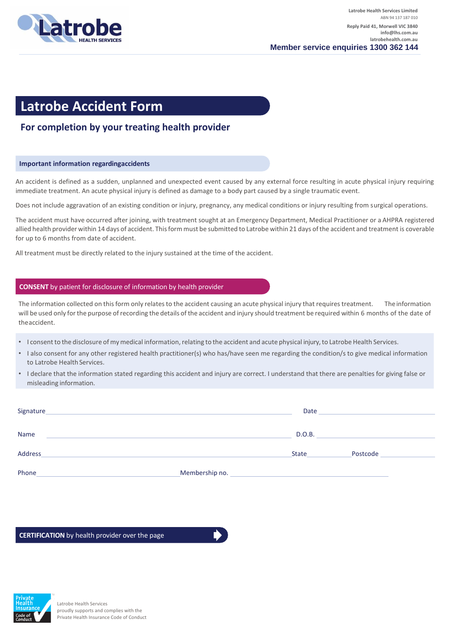

# **Latrobe Accident Form**

## **For completion by your treating health provider**

### **Important information regardingaccidents**

An accident is defined as a sudden, unplanned and unexpected event caused by any external force resulting in acute physical injury requiring immediate treatment. An acute physical injury is defined as damage to a body part caused by a single traumatic event.

Does not include aggravation of an existing condition or injury, pregnancy, any medical conditions or injury resulting from surgical operations.

The accident must have occurred after joining, with treatment sought at an Emergency Department, Medical Practitioner or a AHPRA registered allied health provider within 14 days of accident. Thisform must be submitted to Latrobe within 21 days ofthe accident and treatment is coverable for up to 6 months from date of accident.

All treatment must be directly related to the injury sustained at the time of the accident.

### **CONSENT** by patient for disclosure of information by health provider

The information collected on this form only relates to the accident causing an acute physical injury that requires treatment. The information will be used only forthe purpose of recording the details of the accident and injury should treatment be required within 6 months of the date of theaccident.

- I consent to the disclosure of my medical information, relating to the accident and acute physical injury, to Latrobe Health Services.
- I also consent for any other registered health practitioner(s) who has/have seen me regarding the condition/s to give medical information to Latrobe Health Services.
- I declare that the information stated regarding this accident and injury are correct. I understand that there are penalties for giving false or misleading information.

| Signature |                | Date         |          |
|-----------|----------------|--------------|----------|
| Name      |                | D.O.B.       |          |
| Address   |                | <b>State</b> | Postcode |
| Phone     | Membership no. |              |          |

#### **CERTIFICATION** by health provider over the page